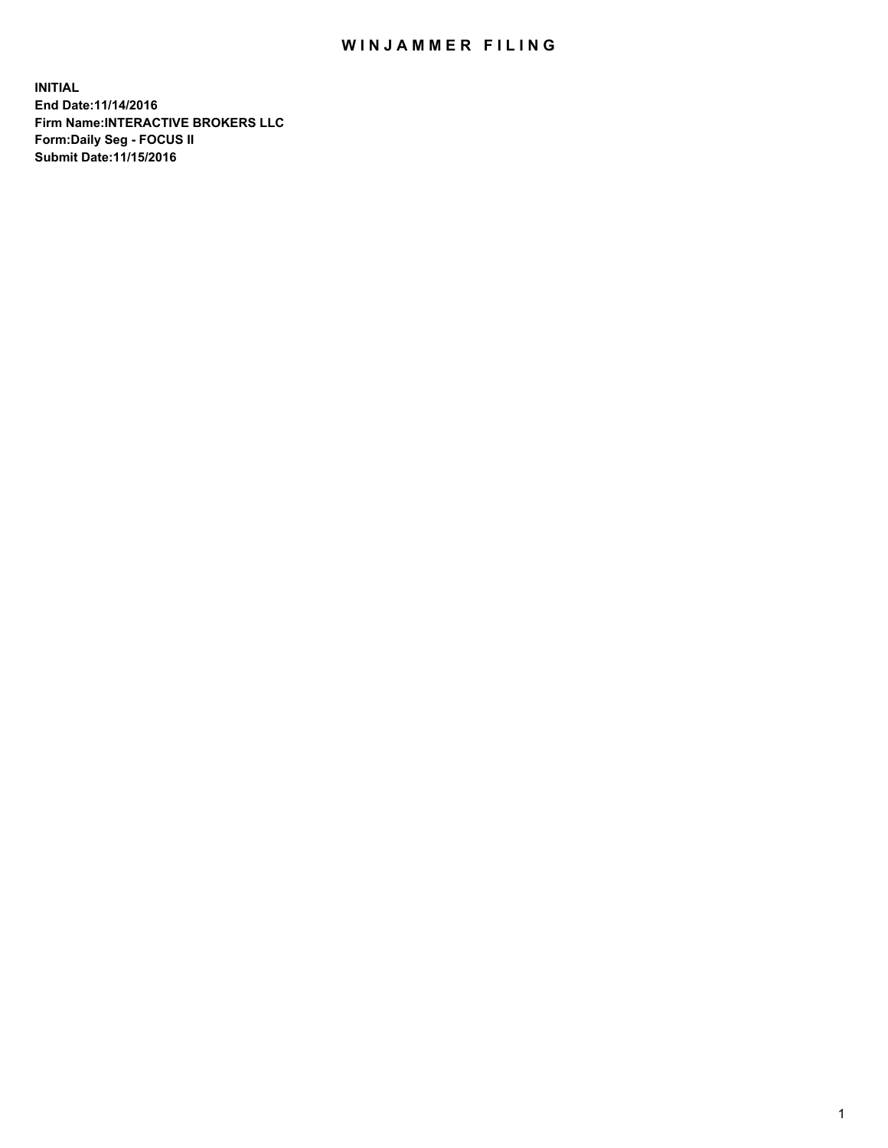## WIN JAMMER FILING

**INITIAL End Date:11/14/2016 Firm Name:INTERACTIVE BROKERS LLC Form:Daily Seg - FOCUS II Submit Date:11/15/2016**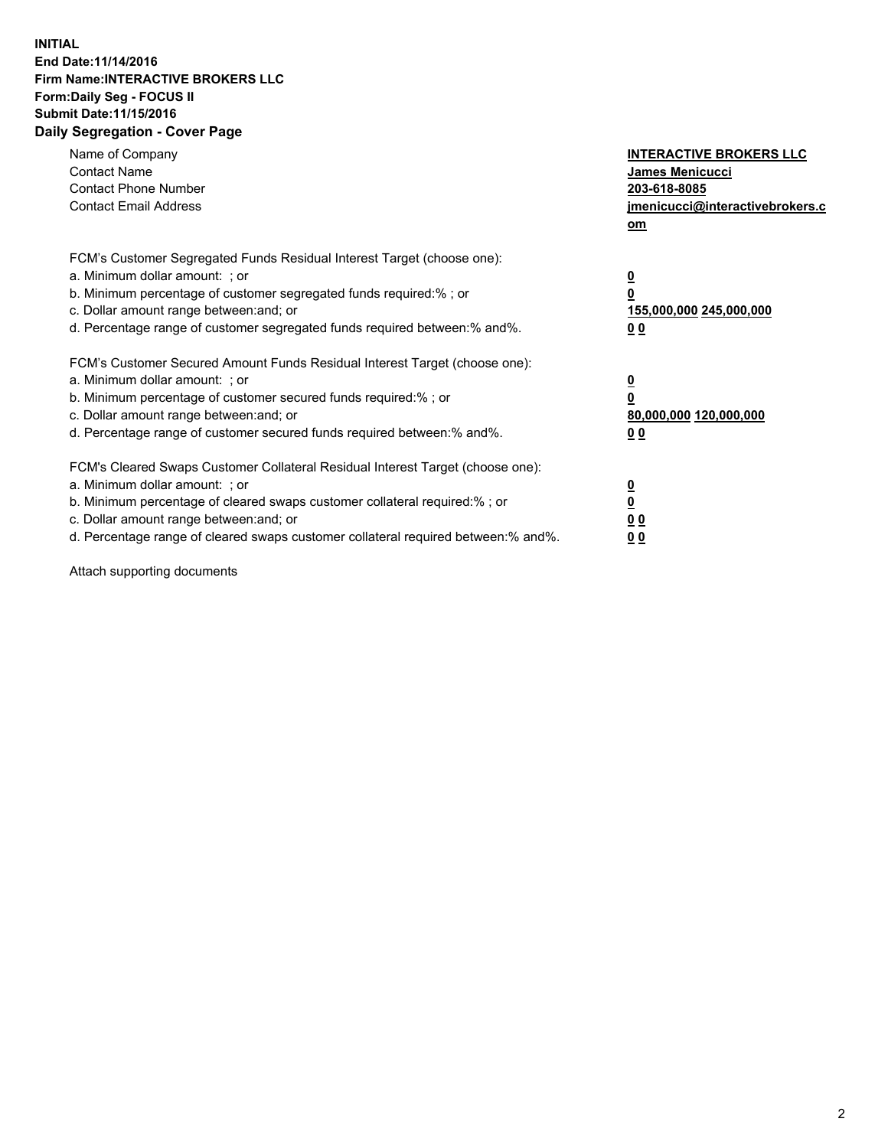## **INITIAL End Date:11/14/2016 Firm Name:INTERACTIVE BROKERS LLC Form:Daily Seg - FOCUS II Submit Date:11/15/2016 Daily Segregation - Cover Page**

| Name of Company<br><b>Contact Name</b><br><b>Contact Phone Number</b><br><b>Contact Email Address</b>                                                                                                                                                                                                                          | <b>INTERACTIVE BROKERS LLC</b><br>James Menicucci<br>203-618-8085<br><u>jmenicucci@interactivebrokers.c</u><br>om |
|--------------------------------------------------------------------------------------------------------------------------------------------------------------------------------------------------------------------------------------------------------------------------------------------------------------------------------|-------------------------------------------------------------------------------------------------------------------|
| FCM's Customer Segregated Funds Residual Interest Target (choose one):<br>a. Minimum dollar amount: ; or<br>b. Minimum percentage of customer segregated funds required:%; or<br>c. Dollar amount range between: and; or<br>d. Percentage range of customer segregated funds required between:% and%.                          | $\overline{\mathbf{0}}$<br>0<br>155,000,000 245,000,000<br>0 <sub>0</sub>                                         |
| FCM's Customer Secured Amount Funds Residual Interest Target (choose one):<br>a. Minimum dollar amount: ; or<br>b. Minimum percentage of customer secured funds required:%; or<br>c. Dollar amount range between: and; or<br>d. Percentage range of customer secured funds required between:% and%.                            | $\overline{\mathbf{0}}$<br>$\overline{\mathbf{0}}$<br>80,000,000 120,000,000<br>00                                |
| FCM's Cleared Swaps Customer Collateral Residual Interest Target (choose one):<br>a. Minimum dollar amount: ; or<br>b. Minimum percentage of cleared swaps customer collateral required:% ; or<br>c. Dollar amount range between: and; or<br>d. Percentage range of cleared swaps customer collateral required between:% and%. | $\overline{\mathbf{0}}$<br>$\overline{\mathbf{0}}$<br>0 <sub>0</sub><br><u>00</u>                                 |

Attach supporting documents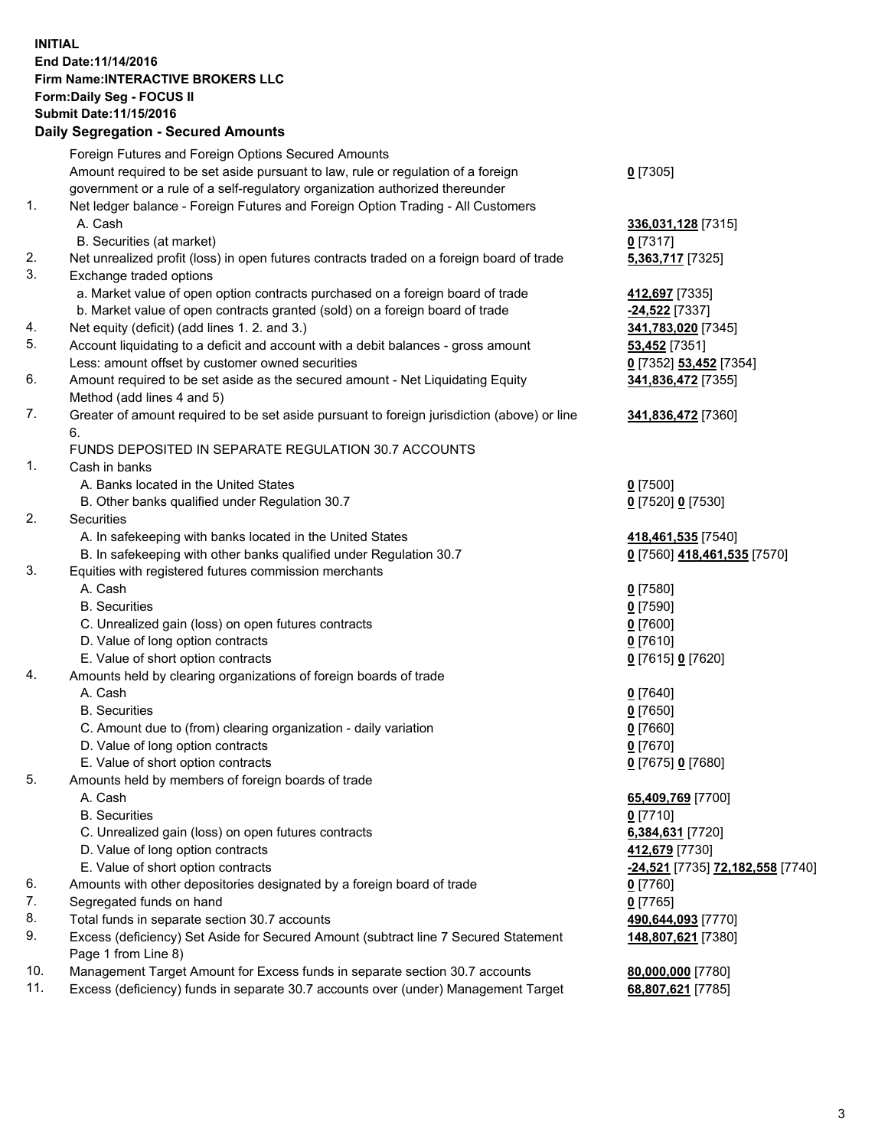## **INITIAL End Date:11/14/2016 Firm Name:INTERACTIVE BROKERS LLC Form:Daily Seg - FOCUS II Submit Date:11/15/2016 Daily Segregation - Secured Amounts**

|     | Daily Jegregation - Jeculed Aniounts                                                                       |                                  |
|-----|------------------------------------------------------------------------------------------------------------|----------------------------------|
|     | Foreign Futures and Foreign Options Secured Amounts                                                        |                                  |
|     | Amount required to be set aside pursuant to law, rule or regulation of a foreign                           | $0$ [7305]                       |
|     | government or a rule of a self-regulatory organization authorized thereunder                               |                                  |
| 1.  | Net ledger balance - Foreign Futures and Foreign Option Trading - All Customers                            |                                  |
|     | A. Cash                                                                                                    | 336,031,128 [7315]               |
|     | B. Securities (at market)                                                                                  | $0$ [7317]                       |
| 2.  | Net unrealized profit (loss) in open futures contracts traded on a foreign board of trade                  | 5,363,717 [7325]                 |
| 3.  | Exchange traded options                                                                                    |                                  |
|     | a. Market value of open option contracts purchased on a foreign board of trade                             | 412,697 [7335]                   |
|     | b. Market value of open contracts granted (sold) on a foreign board of trade                               | -24,522 [7337]                   |
| 4.  | Net equity (deficit) (add lines 1. 2. and 3.)                                                              | 341,783,020 [7345]               |
| 5.  | Account liquidating to a deficit and account with a debit balances - gross amount                          | 53,452 [7351]                    |
|     | Less: amount offset by customer owned securities                                                           | 0 [7352] 53,452 [7354]           |
| 6.  | Amount required to be set aside as the secured amount - Net Liquidating Equity                             | 341,836,472 [7355]               |
|     | Method (add lines 4 and 5)                                                                                 |                                  |
| 7.  | Greater of amount required to be set aside pursuant to foreign jurisdiction (above) or line                | 341,836,472 [7360]               |
|     | 6.                                                                                                         |                                  |
|     | FUNDS DEPOSITED IN SEPARATE REGULATION 30.7 ACCOUNTS                                                       |                                  |
| 1.  | Cash in banks                                                                                              |                                  |
|     | A. Banks located in the United States                                                                      | $0$ [7500]                       |
|     | B. Other banks qualified under Regulation 30.7                                                             | 0 [7520] 0 [7530]                |
| 2.  | Securities                                                                                                 |                                  |
|     | A. In safekeeping with banks located in the United States                                                  | 418,461,535 [7540]               |
|     | B. In safekeeping with other banks qualified under Regulation 30.7                                         | 0 [7560] 418,461,535 [7570]      |
| 3.  | Equities with registered futures commission merchants                                                      |                                  |
|     | A. Cash                                                                                                    | $0$ [7580]                       |
|     | <b>B.</b> Securities                                                                                       | $0$ [7590]                       |
|     |                                                                                                            |                                  |
|     | C. Unrealized gain (loss) on open futures contracts                                                        | $0$ [7600]                       |
|     | D. Value of long option contracts                                                                          | $0$ [7610]                       |
| 4.  | E. Value of short option contracts                                                                         | 0 [7615] 0 [7620]                |
|     | Amounts held by clearing organizations of foreign boards of trade                                          |                                  |
|     | A. Cash                                                                                                    | $0$ [7640]                       |
|     | <b>B.</b> Securities                                                                                       | $0$ [7650]                       |
|     | C. Amount due to (from) clearing organization - daily variation                                            | $0$ [7660]                       |
|     | D. Value of long option contracts                                                                          | $0$ [7670]                       |
|     | E. Value of short option contracts                                                                         | 0 [7675] 0 [7680]                |
| 5.  | Amounts held by members of foreign boards of trade                                                         |                                  |
|     | A. Cash                                                                                                    | 65,409,769 [7700]                |
|     | <b>B.</b> Securities                                                                                       | $0$ [7710]                       |
|     | C. Unrealized gain (loss) on open futures contracts                                                        | 6,384,631 [7720]                 |
|     | D. Value of long option contracts                                                                          | 412,679 [7730]                   |
|     | E. Value of short option contracts                                                                         | -24,521 [7735] 72,182,558 [7740] |
| 6.  | Amounts with other depositories designated by a foreign board of trade                                     | 0 [7760]                         |
| 7.  | Segregated funds on hand                                                                                   | $0$ [7765]                       |
| 8.  | Total funds in separate section 30.7 accounts                                                              | 490,644,093 [7770]               |
| 9.  | Excess (deficiency) Set Aside for Secured Amount (subtract line 7 Secured Statement<br>Page 1 from Line 8) | 148,807,621 [7380]               |
| 10. | Management Target Amount for Excess funds in separate section 30.7 accounts                                | 80,000,000 [7780]                |
| 11. | Excess (deficiency) funds in separate 30.7 accounts over (under) Management Target                         | 68,807,621 [7785]                |
|     |                                                                                                            |                                  |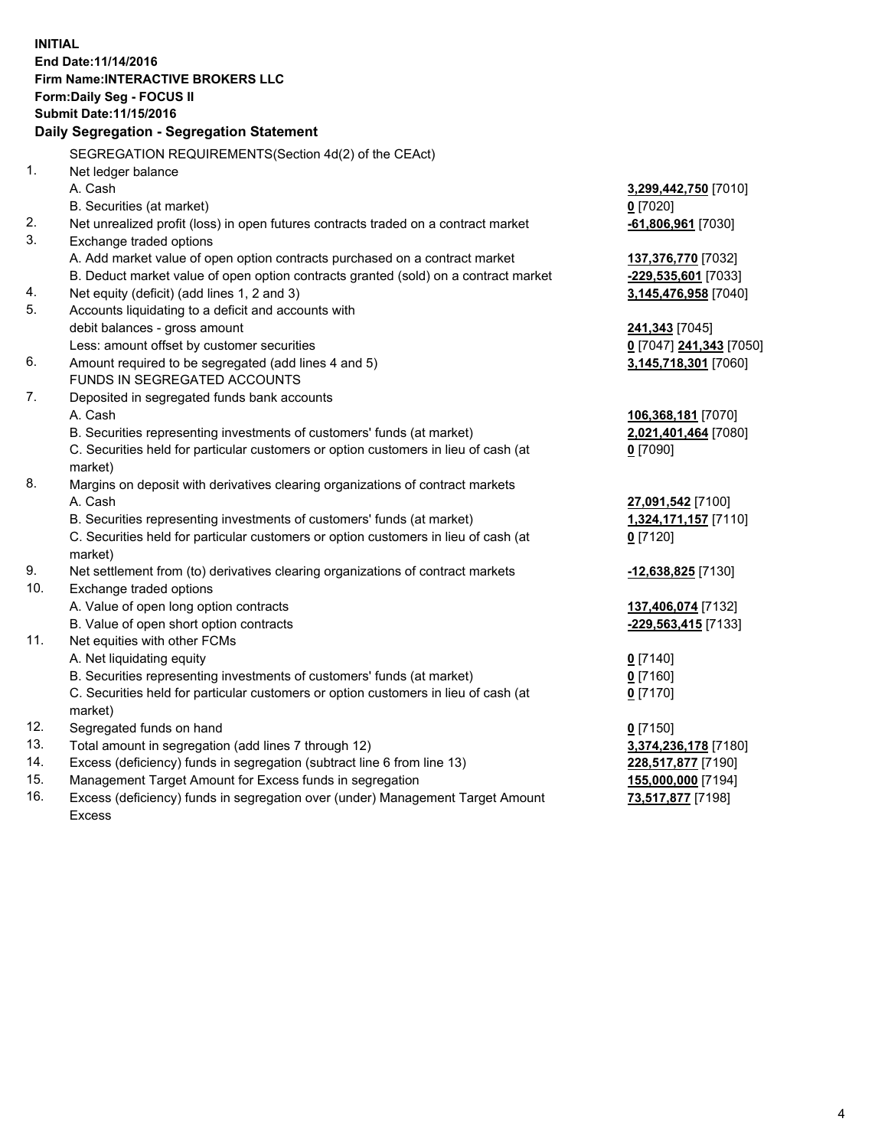**INITIAL End Date:11/14/2016 Firm Name:INTERACTIVE BROKERS LLC Form:Daily Seg - FOCUS II Submit Date:11/15/2016 Daily Segregation - Segregation Statement** SEGREGATION REQUIREMENTS(Section 4d(2) of the CEAct) 1. Net ledger balance A. Cash **3,299,442,750** [7010] B. Securities (at market) **0** [7020] 2. Net unrealized profit (loss) in open futures contracts traded on a contract market **-61,806,961** [7030] 3. Exchange traded options A. Add market value of open option contracts purchased on a contract market **137,376,770** [7032] B. Deduct market value of open option contracts granted (sold) on a contract market **-229,535,601** [7033] 4. Net equity (deficit) (add lines 1, 2 and 3) **3,145,476,958** [7040] 5. Accounts liquidating to a deficit and accounts with debit balances - gross amount **241,343** [7045] Less: amount offset by customer securities **0** [7047] **241,343** [7050] 6. Amount required to be segregated (add lines 4 and 5) **3,145,718,301** [7060] FUNDS IN SEGREGATED ACCOUNTS 7. Deposited in segregated funds bank accounts A. Cash **106,368,181** [7070] B. Securities representing investments of customers' funds (at market) **2,021,401,464** [7080] C. Securities held for particular customers or option customers in lieu of cash (at market) **0** [7090] 8. Margins on deposit with derivatives clearing organizations of contract markets A. Cash **27,091,542** [7100] B. Securities representing investments of customers' funds (at market) **1,324,171,157** [7110] C. Securities held for particular customers or option customers in lieu of cash (at market) **0** [7120] 9. Net settlement from (to) derivatives clearing organizations of contract markets **-12,638,825** [7130] 10. Exchange traded options A. Value of open long option contracts **137,406,074** [7132] B. Value of open short option contracts **-229,563,415** [7133] 11. Net equities with other FCMs A. Net liquidating equity **0** [7140] B. Securities representing investments of customers' funds (at market) **0** [7160] C. Securities held for particular customers or option customers in lieu of cash (at market) **0** [7170] 12. Segregated funds on hand **0** [7150] 13. Total amount in segregation (add lines 7 through 12) **3,374,236,178** [7180] 14. Excess (deficiency) funds in segregation (subtract line 6 from line 13) **228,517,877** [7190] 15. Management Target Amount for Excess funds in segregation **155,000,000** [7194]

16. Excess (deficiency) funds in segregation over (under) Management Target Amount Excess

**73,517,877** [7198]